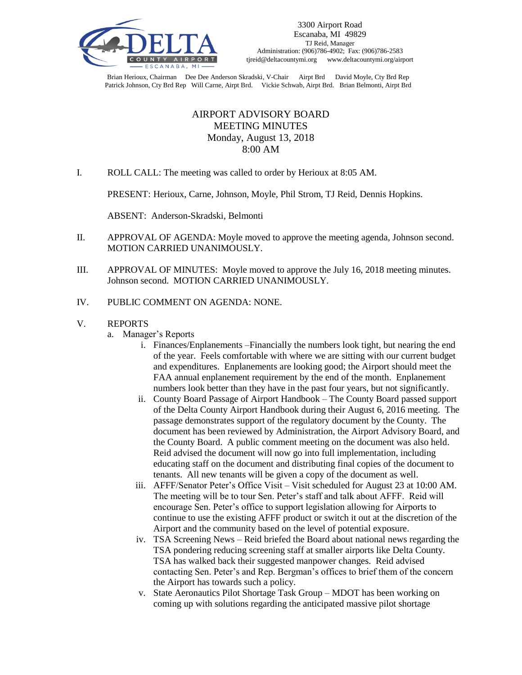

Brian Herioux, Chairman Dee Dee Anderson Skradski, V-Chair Airpt Brd David Moyle, Cty Brd Rep Patrick Johnson, Cty Brd Rep Will Carne, Airpt Brd. Vickie Schwab, Airpt Brd. Brian Belmonti, Airpt Brd

## AIRPORT ADVISORY BOARD MEETING MINUTES Monday, August 13, 2018 8:00 AM

I. ROLL CALL: The meeting was called to order by Herioux at 8:05 AM.

PRESENT: Herioux, Carne, Johnson, Moyle, Phil Strom, TJ Reid, Dennis Hopkins.

ABSENT: Anderson-Skradski, Belmonti

- II. APPROVAL OF AGENDA: Moyle moved to approve the meeting agenda, Johnson second. MOTION CARRIED UNANIMOUSLY.
- III. APPROVAL OF MINUTES: Moyle moved to approve the July 16, 2018 meeting minutes. Johnson second. MOTION CARRIED UNANIMOUSLY.
- IV. PUBLIC COMMENT ON AGENDA: NONE.
- V. REPORTS
	- a. Manager's Reports
		- i. Finances/Enplanements –Financially the numbers look tight, but nearing the end of the year. Feels comfortable with where we are sitting with our current budget and expenditures. Enplanements are looking good; the Airport should meet the FAA annual enplanement requirement by the end of the month. Enplanement numbers look better than they have in the past four years, but not significantly.
		- ii. County Board Passage of Airport Handbook The County Board passed support of the Delta County Airport Handbook during their August 6, 2016 meeting. The passage demonstrates support of the regulatory document by the County. The document has been reviewed by Administration, the Airport Advisory Board, and the County Board. A public comment meeting on the document was also held. Reid advised the document will now go into full implementation, including educating staff on the document and distributing final copies of the document to tenants. All new tenants will be given a copy of the document as well.
		- iii. AFFF/Senator Peter's Office Visit Visit scheduled for August 23 at 10:00 AM. The meeting will be to tour Sen. Peter's staff and talk about AFFF. Reid will encourage Sen. Peter's office to support legislation allowing for Airports to continue to use the existing AFFF product or switch it out at the discretion of the Airport and the community based on the level of potential exposure.
		- iv. TSA Screening News Reid briefed the Board about national news regarding the TSA pondering reducing screening staff at smaller airports like Delta County. TSA has walked back their suggested manpower changes. Reid advised contacting Sen. Peter's and Rep. Bergman's offices to brief them of the concern the Airport has towards such a policy.
		- v. State Aeronautics Pilot Shortage Task Group MDOT has been working on coming up with solutions regarding the anticipated massive pilot shortage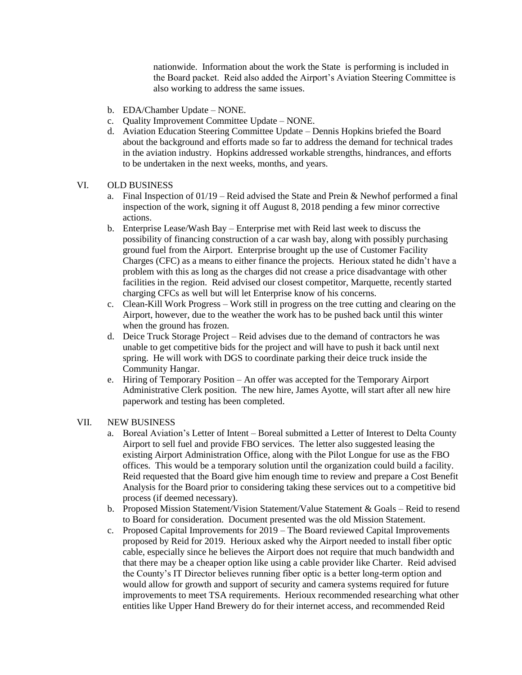nationwide. Information about the work the State is performing is included in the Board packet. Reid also added the Airport's Aviation Steering Committee is also working to address the same issues.

- b. EDA/Chamber Update NONE.
- c. Quality Improvement Committee Update NONE.
- d. Aviation Education Steering Committee Update Dennis Hopkins briefed the Board about the background and efforts made so far to address the demand for technical trades in the aviation industry. Hopkins addressed workable strengths, hindrances, and efforts to be undertaken in the next weeks, months, and years.

## VI. OLD BUSINESS

- a. Final Inspection of 01/19 Reid advised the State and Prein & Newhof performed a final inspection of the work, signing it off August 8, 2018 pending a few minor corrective actions.
- b. Enterprise Lease/Wash Bay Enterprise met with Reid last week to discuss the possibility of financing construction of a car wash bay, along with possibly purchasing ground fuel from the Airport. Enterprise brought up the use of Customer Facility Charges (CFC) as a means to either finance the projects. Herioux stated he didn't have a problem with this as long as the charges did not crease a price disadvantage with other facilities in the region. Reid advised our closest competitor, Marquette, recently started charging CFCs as well but will let Enterprise know of his concerns.
- c. Clean-Kill Work Progress Work still in progress on the tree cutting and clearing on the Airport, however, due to the weather the work has to be pushed back until this winter when the ground has frozen.
- d. Deice Truck Storage Project Reid advises due to the demand of contractors he was unable to get competitive bids for the project and will have to push it back until next spring. He will work with DGS to coordinate parking their deice truck inside the Community Hangar.
- e. Hiring of Temporary Position An offer was accepted for the Temporary Airport Administrative Clerk position. The new hire, James Ayotte, will start after all new hire paperwork and testing has been completed.

## VII. NEW BUSINESS

- a. Boreal Aviation's Letter of Intent Boreal submitted a Letter of Interest to Delta County Airport to sell fuel and provide FBO services. The letter also suggested leasing the existing Airport Administration Office, along with the Pilot Longue for use as the FBO offices. This would be a temporary solution until the organization could build a facility. Reid requested that the Board give him enough time to review and prepare a Cost Benefit Analysis for the Board prior to considering taking these services out to a competitive bid process (if deemed necessary).
- b. Proposed Mission Statement/Vision Statement/Value Statement & Goals Reid to resend to Board for consideration. Document presented was the old Mission Statement.
- c. Proposed Capital Improvements for 2019 The Board reviewed Capital Improvements proposed by Reid for 2019. Herioux asked why the Airport needed to install fiber optic cable, especially since he believes the Airport does not require that much bandwidth and that there may be a cheaper option like using a cable provider like Charter. Reid advised the County's IT Director believes running fiber optic is a better long-term option and would allow for growth and support of security and camera systems required for future improvements to meet TSA requirements. Herioux recommended researching what other entities like Upper Hand Brewery do for their internet access, and recommended Reid